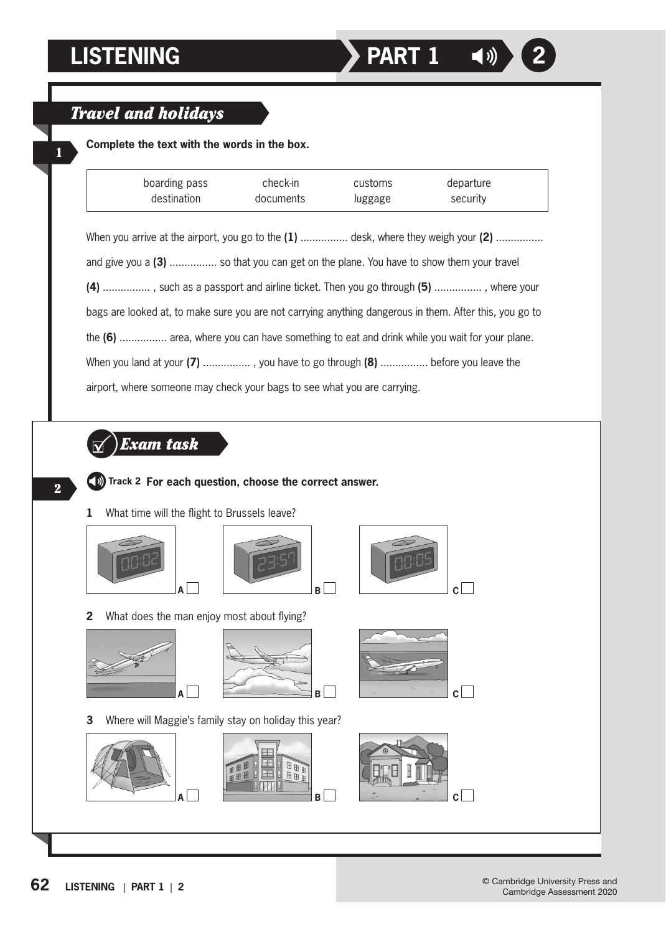1

## *Travel and holidays*

**Complete the text with the words in the box.**

| boarding pass                                                                                           | check-in  | customs | departure |
|---------------------------------------------------------------------------------------------------------|-----------|---------|-----------|
| destination                                                                                             | documents | luggage | security  |
|                                                                                                         |           |         |           |
| When you arrive at the airport, you go to the $(1)$ desk, where they weigh your $(2)$                   |           |         |           |
| and give you a (3)  so that you can get on the plane. You have to show them your travel                 |           |         |           |
| (4) , such as a passport and airline ticket. Then you go through (5) , where your                       |           |         |           |
| bags are looked at, to make sure you are not carrying anything dangerous in them. After this, you go to |           |         |           |
| the (6)  area, where you can have something to eat and drink while you wait for your plane.             |           |         |           |
| When you land at your $(7)$ , you have to go through $(8)$ before you leave the                         |           |         |           |
| airport, where someone may check your bags to see what you are carrying.                                |           |         |           |
|                                                                                                         |           |         |           |
|                                                                                                         |           |         |           |
| Exam task                                                                                               |           |         |           |
| (b) Track 2 For each question, choose the correct answer.                                               |           |         |           |
|                                                                                                         |           |         |           |
|                                                                                                         |           |         |           |







**2** What does the man enjoy most about flying?





**3** Where will Maggie's family stay on holiday this year?